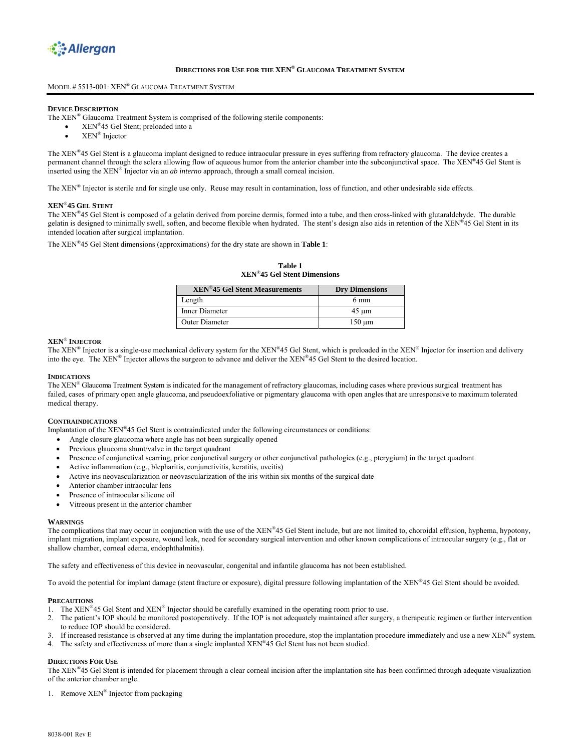

# **DIRECTIONS FOR USE FOR THE XEN® GLAUCOMA TREATMENT SYSTEM**

#### MODEL # 5513-001: XEN® GLAUCOMA TREATMENT SYSTEM

# **DEVICE DESCRIPTION**

The XEN® Glaucoma Treatment System is comprised of the following sterile components:

- XEN®45 Gel Stent; preloaded into a
- XEN® Injector

The XEN®45 Gel Stent is a glaucoma implant designed to reduce intraocular pressure in eyes suffering from refractory glaucoma. The device creates a permanent channel through the sclera allowing flow of aqueous humor from the anterior chamber into the subconjunctival space. The XEN®45 Gel Stent is inserted using the XEN® Injector via an *ab interno* approach, through a small corneal incision.

The XEN® Injector is sterile and for single use only. Reuse may result in contamination, loss of function, and other undesirable side effects.

#### **XEN**®**45 GEL STENT**

The XEN®45 Gel Stent is composed of a gelatin derived from porcine dermis, formed into a tube, and then cross-linked with glutaraldehyde. The durable gelatin is designed to minimally swell, soften, and become flexible when hydrated. The stent's design also aids in retention of the XEN®45 Gel Stent in its intended location after surgical implantation.

The XEN®45 Gel Stent dimensions (approximations) for the dry state are shown in **Table 1**:

**Table 1 XEN**®**45 Gel Stent Dimensions** 

| <b>XEN<sup>®</sup>45 Gel Stent Measurements</b> | <b>Dry Dimensions</b> |
|-------------------------------------------------|-----------------------|
| Length                                          | 6 mm                  |
| Inner Diameter                                  | $45 \mu m$            |
| <b>Outer Diameter</b>                           | $150 \mu m$           |

#### **XEN**® **INJECTOR**

The XEN® Injector is a single-use mechanical delivery system for the XEN®45 Gel Stent, which is preloaded in the XEN® Injector for insertion and delivery into the eye. The XEN® Injector allows the surgeon to advance and deliver the XEN®45 Gel Stent to the desired location.

#### **INDICATIONS**

The XEN® Glaucoma Treatment System is indicated for the management of refractory glaucomas, including cases where previous surgical treatment has failed, cases of primary open angle glaucoma, and pseudoexfoliative or pigmentary glaucoma with open angles that are unresponsive to maximum tolerated medical therapy.

#### **CONTRAINDICATIONS**

Implantation of the XEN®45 Gel Stent is contraindicated under the following circumstances or conditions:

- Angle closure glaucoma where angle has not been surgically opened
- Previous glaucoma shunt/valve in the target quadrant
- Presence of conjunctival scarring, prior conjunctival surgery or other conjunctival pathologies (e.g., pterygium) in the target quadrant
- Active inflammation (e.g., blepharitis, conjunctivitis, keratitis, uveitis)
- Active iris neovascularization or neovascularization of the iris within six months of the surgical date
- Anterior chamber intraocular lens
- Presence of intraocular silicone oil
- Vitreous present in the anterior chamber

#### **WARNINGS**

The complications that may occur in conjunction with the use of the XEN®45 Gel Stent include, but are not limited to, choroidal effusion, hyphema, hypotony, implant migration, implant exposure, wound leak, need for secondary surgical intervention and other known complications of intraocular surgery (e.g., flat or shallow chamber, corneal edema, endophthalmitis).

The safety and effectiveness of this device in neovascular, congenital and infantile glaucoma has not been established.

To avoid the potential for implant damage (stent fracture or exposure), digital pressure following implantation of the XEN®45 Gel Stent should be avoided.

#### **PRECAUTIONS**

- 1. The XEN®45 Gel Stent and XEN® Injector should be carefully examined in the operating room prior to use.
- 2. The patient's IOP should be monitored postoperatively. If the IOP is not adequately maintained after surgery, a therapeutic regimen or further intervention to reduce IOP should be considered.
- 3. If increased resistance is observed at any time during the implantation procedure, stop the implantation procedure immediately and use a new XEN® system.
- 4. The safety and effectiveness of more than a single implanted XEN®45 Gel Stent has not been studied.

#### **DIRECTIONS FOR USE**

The XEN®45 Gel Stent is intended for placement through a clear corneal incision after the implantation site has been confirmed through adequate visualization of the anterior chamber angle.

1. Remove XEN<sup>®</sup> Injector from packaging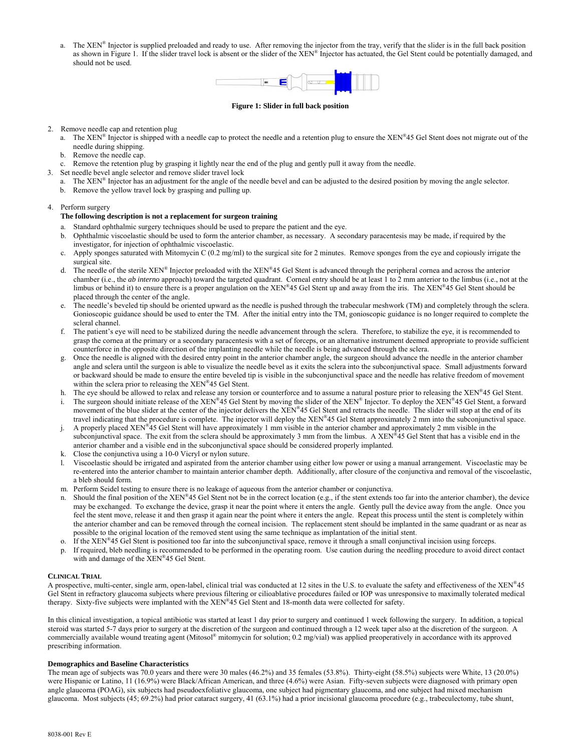a. The XEN<sup>®</sup> Injector is supplied preloaded and ready to use. After removing the injector from the tray, verify that the slider is in the full back position as shown in Figure 1. If the slider travel lock is absent or the slider of the  $XEN^{\otimes}$  Injector has actuated, the Gel Stent could be potentially damaged, and should not be used.



#### **Figure 1: Slider in full back position**

- 2. Remove needle cap and retention plug
	- a. The XEN<sup>®</sup> Injector is shipped with a needle cap to protect the needle and a retention plug to ensure the XEN<sup>®</sup>45 Gel Stent does not migrate out of the needle during shipping.
	- b. Remove the needle cap.
	- c. Remove the retention plug by grasping it lightly near the end of the plug and gently pull it away from the needle.
- 3. Set needle bevel angle selector and remove slider travel lock
	- a. The XEN® Injector has an adjustment for the angle of the needle bevel and can be adjusted to the desired position by moving the angle selector.
	- b. Remove the yellow travel lock by grasping and pulling up.

## 4. Perform surgery

## **The following description is not a replacement for surgeon training**

- a. Standard ophthalmic surgery techniques should be used to prepare the patient and the eye.
- b. Ophthalmic viscoelastic should be used to form the anterior chamber, as necessary. A secondary paracentesis may be made, if required by the investigator, for injection of ophthalmic viscoelastic.
- c. Apply sponges saturated with Mitomycin C (0.2 mg/ml) to the surgical site for 2 minutes. Remove sponges from the eye and copiously irrigate the surgical site.
- d. The needle of the sterile  $XEN^{\otimes}$  Injector preloaded with the  $XEN^{\otimes}45$  Gel Stent is advanced through the peripheral cornea and across the anterior chamber (i.e., the *ab interno* approach) toward the targeted quadrant. Corneal entry should be at least 1 to 2 mm anterior to the limbus (i.e., not at the limbus or behind it) to ensure there is a proper angulation on the XEN®45 Gel Stent up and away from the iris. The XEN®45 Gel Stent should be placed through the center of the angle.
- e. The needle's beveled tip should be oriented upward as the needle is pushed through the trabecular meshwork (TM) and completely through the sclera. Gonioscopic guidance should be used to enter the TM. After the initial entry into the TM, gonioscopic guidance is no longer required to complete the scleral channel.
- f. The patient's eye will need to be stabilized during the needle advancement through the sclera. Therefore, to stabilize the eye, it is recommended to grasp the cornea at the primary or a secondary paracentesis with a set of forceps, or an alternative instrument deemed appropriate to provide sufficient counterforce in the opposite direction of the implanting needle while the needle is being advanced through the sclera.
- g. Once the needle is aligned with the desired entry point in the anterior chamber angle, the surgeon should advance the needle in the anterior chamber angle and sclera until the surgeon is able to visualize the needle bevel as it exits the sclera into the subconjunctival space. Small adjustments forward or backward should be made to ensure the entire beveled tip is visible in the subconjunctival space and the needle has relative freedom of movement within the sclera prior to releasing the XEN®45 Gel Stent.
- h. The eye should be allowed to relax and release any torsion or counterforce and to assume a natural posture prior to releasing the XEN®45 Gel Stent.
- i. The surgeon should initiate release of the XEN®45 Gel Stent by moving the slider of the XEN® Injector. To deploy the XEN®45 Gel Stent, a forward movement of the blue slider at the center of the injector delivers the XEN®45 Gel Stent and retracts the needle. The slider will stop at the end of its travel indicating that the procedure is complete. The injector will deploy the XEN®45 Gel Stent approximately 2 mm into the subconjunctival space.
- j. A properly placed XEN®45 Gel Stent will have approximately 1 mm visible in the anterior chamber and approximately 2 mm visible in the subconjunctival space. The exit from the sclera should be approximately 3 mm from the limbus. A XEN®45 Gel Stent that has a visible end in the anterior chamber and a visible end in the subconjunctival space should be considered properly implanted.
- k. Close the conjunctiva using a 10-0 Vicryl or nylon suture.
- l. Viscoelastic should be irrigated and aspirated from the anterior chamber using either low power or using a manual arrangement. Viscoelastic may be re-entered into the anterior chamber to maintain anterior chamber depth. Additionally, after closure of the conjunctiva and removal of the viscoelastic, a bleb should form.
- m. Perform Seidel testing to ensure there is no leakage of aqueous from the anterior chamber or conjunctiva.
- n. Should the final position of the  $XEN^{\otimes}45$  Gel Stent not be in the correct location (e.g., if the stent extends too far into the anterior chamber), the device may be exchanged. To exchange the device, grasp it near the point where it enters the angle. Gently pull the device away from the angle. Once you feel the stent move, release it and then grasp it again near the point where it enters the angle. Repeat this process until the stent is completely within the anterior chamber and can be removed through the corneal incision. The replacement stent should be implanted in the same quadrant or as near as possible to the original location of the removed stent using the same technique as implantation of the initial stent.
- o. If the  $XEN^{\otimes 45}$  Gel Stent is positioned too far into the subconjunctival space, remove it through a small conjunctival incision using forceps.
- p. If required, bleb needling is recommended to be performed in the operating room. Use caution during the needling procedure to avoid direct contact with and damage of the XEN®45 Gel Stent.

## **CLINICAL TRIAL**

A prospective, multi-center, single arm, open-label, clinical trial was conducted at 12 sites in the U.S. to evaluate the safety and effectiveness of the XEN®45 Gel Stent in refractory glaucoma subjects where previous filtering or cilioablative procedures failed or IOP was unresponsive to maximally tolerated medical therapy. Sixty-five subjects were implanted with the XEN®45 Gel Stent and 18-month data were collected for safety.

In this clinical investigation, a topical antibiotic was started at least 1 day prior to surgery and continued 1 week following the surgery. In addition, a topical steroid was started 5-7 days prior to surgery at the discretion of the surgeon and continued through a 12 week taper also at the discretion of the surgeon. A commercially available wound treating agent (Mitosol® mitomycin for solution; 0.2 mg/vial) was applied preoperatively in accordance with its approved prescribing information.

#### **Demographics and Baseline Characteristics**

The mean age of subjects was 70.0 years and there were 30 males (46.2%) and 35 females (53.8%). Thirty-eight (58.5%) subjects were White, 13 (20.0%) were Hispanic or Latino, 11 (16.9%) were Black/African American, and three (4.6%) were Asian. Fifty-seven subjects were diagnosed with primary open angle glaucoma (POAG), six subjects had pseudoexfoliative glaucoma, one subject had pigmentary glaucoma, and one subject had mixed mechanism glaucoma. Most subjects (45; 69.2%) had prior cataract surgery, 41 (63.1%) had a prior incisional glaucoma procedure (e.g., trabeculectomy, tube shunt,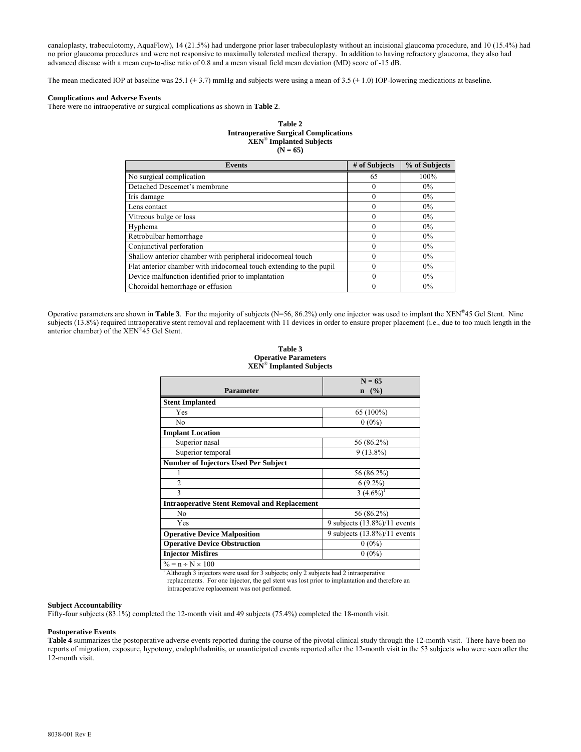canaloplasty, trabeculotomy, AquaFlow), 14 (21.5%) had undergone prior laser trabeculoplasty without an incisional glaucoma procedure, and 10 (15.4%) had no prior glaucoma procedures and were not responsive to maximally tolerated medical therapy. In addition to having refractory glaucoma, they also had advanced disease with a mean cup-to-disc ratio of 0.8 and a mean visual field mean deviation (MD) score of -15 dB.

The mean medicated IOP at baseline was 25.1 ( $\pm$  3.7) mmHg and subjects were using a mean of 3.5 ( $\pm$  1.0) IOP-lowering medications at baseline.

## **Complications and Adverse Events**

There were no intraoperative or surgical complications as shown in **Table 2**.

#### **Table 2 Intraoperative Surgical Complications XEN**® **Implanted Subjects**  $(N = 65)$

| <b>Events</b>                                                        | # of Subjects | % of Subjects |
|----------------------------------------------------------------------|---------------|---------------|
| No surgical complication                                             | 65            | 100%          |
| Detached Descemet's membrane                                         | $\theta$      | $0\%$         |
| Iris damage                                                          | $\theta$      | $0\%$         |
| Lens contact                                                         | $\Omega$      | $0\%$         |
| Vitreous bulge or loss                                               | $\Omega$      | $0\%$         |
| Hyphema                                                              | $\Omega$      | $0\%$         |
| Retrobulbar hemorrhage                                               | 0             | $0\%$         |
| Conjunctival perforation                                             |               | $0\%$         |
| Shallow anterior chamber with peripheral iridocorneal touch          | $\Omega$      | $0\%$         |
| Flat anterior chamber with iridocorneal touch extending to the pupil | 0             | $0\%$         |
| Device malfunction identified prior to implantation                  | $\theta$      | $0\%$         |
| Choroidal hemorrhage or effusion                                     | 0             | $0\%$         |

Operative parameters are shown in **Table 3**. For the majority of subjects (N=56, 86.2%) only one injector was used to implant the XEN®45 Gel Stent. Nine subjects (13.8%) required intraoperative stent removal and replacement with 11 devices in order to ensure proper placement (i.e., due to too much length in the anterior chamber) of the XEN®45 Gel Stent.

#### **Table 3 Operative Parameters XEN**® **Implanted Subjects**

|                                                     | $N = 65$                        |
|-----------------------------------------------------|---------------------------------|
| <b>Parameter</b>                                    | $($ %)<br>$\mathbf n$           |
| <b>Stent Implanted</b>                              |                                 |
| Yes                                                 | 65 (100%)                       |
| No                                                  | $0(0\%)$                        |
| <b>Implant Location</b>                             |                                 |
| Superior nasal                                      | 56 (86.2%)                      |
| Superior temporal                                   | $9(13.8\%)$                     |
| <b>Number of Injectors Used Per Subject</b>         |                                 |
|                                                     | 56 (86.2%)                      |
| $\overline{2}$                                      | $6(9.2\%)$                      |
| 3                                                   | $3(4.6\%)$                      |
| <b>Intraoperative Stent Removal and Replacement</b> |                                 |
| No                                                  | 56 (86.2%)                      |
| Yes                                                 | 9 subjects $(13.8\%)/11$ events |
| <b>Operative Device Malposition</b>                 | 9 subjects $(13.8\%)/11$ events |
| <b>Operative Device Obstruction</b>                 | $0(0\%)$                        |
| <b>Injector Misfires</b>                            | $0(0\%)$                        |
| $\% = n \div N \times 100$                          |                                 |

<sup>1</sup> Although 3 injectors were used for 3 subjects; only 2 subjects had 2 intraoperative replacements. For one injector, the gel stent was lost prior to implantation and therefore an

# intraoperative replacement was not performed.

## **Subject Accountability**

Fifty-four subjects (83.1%) completed the 12-month visit and 49 subjects (75.4%) completed the 18-month visit.

#### **Postoperative Events**

**Table 4** summarizes the postoperative adverse events reported during the course of the pivotal clinical study through the 12-month visit. There have been no reports of migration, exposure, hypotony, endophthalmitis, or unanticipated events reported after the 12-month visit in the 53 subjects who were seen after the 12-month visit.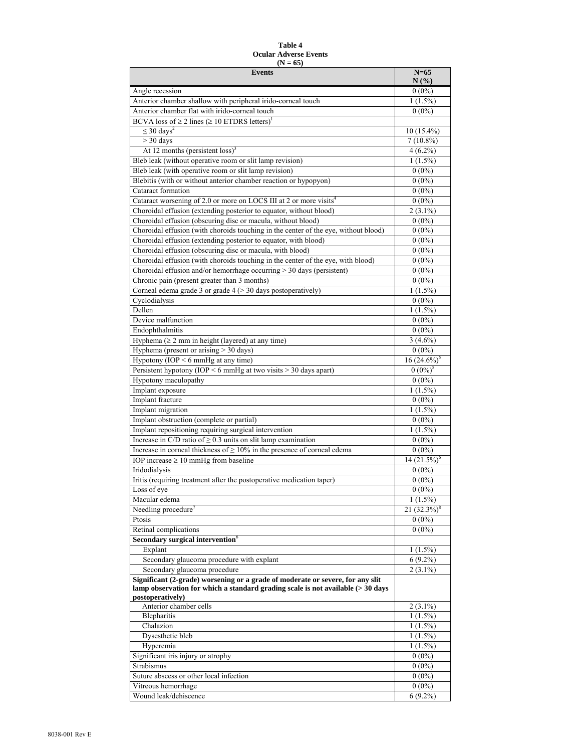## **Table 4 Ocular Adverse Events**   $(N = 65)$

| <b>Events</b>                                                                                                | $N=65$                 |
|--------------------------------------------------------------------------------------------------------------|------------------------|
| Angle recession                                                                                              | N(%)<br>$0(0\%)$       |
| Anterior chamber shallow with peripheral irido-corneal touch                                                 | $1(1.5\%)$             |
| Anterior chamber flat with irido-corneal touch                                                               | $0(0\%)$               |
| BCVA loss of $\geq 2$ lines ( $\geq 10$ ETDRS letters) <sup>1</sup>                                          |                        |
| $\leq 30 \text{ days}^2$                                                                                     | $10(15.4\%)$           |
| $>$ 30 days                                                                                                  | $7(10.8\%)$            |
| At 12 months (persistent loss) <sup>3</sup>                                                                  | $4(6.2\%)$             |
| Bleb leak (without operative room or slit lamp revision)                                                     | $1(1.5\%)$             |
| Bleb leak (with operative room or slit lamp revision)                                                        | $0(0\%)$               |
| Blebitis (with or without anterior chamber reaction or hypopyon)                                             | $0(0\%)$               |
| Cataract formation                                                                                           | $0(0\%)$               |
| Cataract worsening of 2.0 or more on LOCS III at 2 or more visits <sup>4</sup>                               | $0(0\%)$               |
| Choroidal effusion (extending posterior to equator, without blood)                                           | $2(3.1\%)$             |
| Choroidal effusion (obscuring disc or macula, without blood)                                                 | $0(0\%)$               |
| Choroidal effusion (with choroids touching in the center of the eye, without blood)                          | $0(0\%)$               |
| Choroidal effusion (extending posterior to equator, with blood)                                              | $0(0\%)$               |
| Choroidal effusion (obscuring disc or macula, with blood)                                                    | $0(0\%)$               |
| Choroidal effusion (with choroids touching in the center of the eye, with blood)                             | $0(0\%)$               |
| Choroidal effusion and/or hemorrhage occurring $>$ 30 days (persistent)                                      | $0(0\%)$               |
| Chronic pain (present greater than 3 months)<br>Corneal edema grade 3 or grade 4 (> 30 days postoperatively) | $0(0\%)$<br>$1(1.5\%)$ |
| Cyclodialysis                                                                                                | $0(0\%)$               |
| Dellen                                                                                                       | $1(1.5\%)$             |
| Device malfunction                                                                                           | $0(0\%)$               |
| Endophthalmitis                                                                                              | $0(0\%)$               |
| Hyphema $( \geq 2$ mm in height (layered) at any time)                                                       | $3(4.6\%)$             |
| Hyphema (present or arising $>$ 30 days)                                                                     | $0(0\%)$               |
| Hypotony (IOP $\leq 6$ mmHg at any time)                                                                     | $16(24.6\%)^3$         |
| Persistent hypotony (IOP $\leq 6$ mmHg at two visits $> 30$ days apart)                                      | $0(0\%)^5$             |
| Hypotony maculopathy                                                                                         | $0(0\%)$               |
| Implant exposure                                                                                             | $1(1.5\%)$             |
| Implant fracture                                                                                             | $0(0\%)$               |
| Implant migration                                                                                            | $1(1.5\%)$             |
| Implant obstruction (complete or partial)                                                                    | $0(0\%)$               |
| Implant repositioning requiring surgical intervention                                                        | $1(1.5\%)$             |
| Increase in C/D ratio of $\geq$ 0.3 units on slit lamp examination                                           | $0(0\%)$               |
| Increase in corneal thickness of $\geq 10\%$ in the presence of corneal edema                                | $0(0\%)$               |
| IOP increase $\geq 10$ mmHg from baseline                                                                    | $14(21.5\%)^6$         |
| Iridodialysis                                                                                                | $0(0\%)$               |
| Iritis (requiring treatment after the postoperative medication taper)<br>Loss of eye                         | $0(0\%)$<br>$0(0\%)$   |
| Macular edema                                                                                                | $1(1.5\%)$             |
| Needling procedure <sup>7</sup>                                                                              | 21 $(32.3\%)^8$        |
| Ptosis                                                                                                       | $0(0\%)$               |
| Retinal complications                                                                                        | $0(0\%)$               |
| Secondary surgical intervention <sup>6</sup>                                                                 |                        |
| Explant                                                                                                      | $1(1.5\%)$             |
| Secondary glaucoma procedure with explant                                                                    | $6(9.2\%)$             |
| Secondary glaucoma procedure                                                                                 | $2(3.1\%)$             |
| Significant (2-grade) worsening or a grade of moderate or severe, for any slit                               |                        |
| lamp observation for which a standard grading scale is not available (> 30 days<br>postoperatively)          |                        |
| Anterior chamber cells                                                                                       | $2(3.1\%)$             |
| <b>Blepharitis</b>                                                                                           | $1(1.5\%)$             |
| Chalazion                                                                                                    | $1(1.5\%)$             |
| Dysesthetic bleb                                                                                             | $1(1.5\%)$             |
| Hyperemia                                                                                                    | $1(1.5\%)$             |
| Significant iris injury or atrophy                                                                           | $0(0\%)$               |
| Strabismus                                                                                                   | $0(0\%)$               |
| Suture abscess or other local infection                                                                      | $0(0\%)$               |
| Vitreous hemorrhage<br>Wound leak/dehiscence                                                                 | $0(0\%)$               |
|                                                                                                              | $6(9.2\%)$             |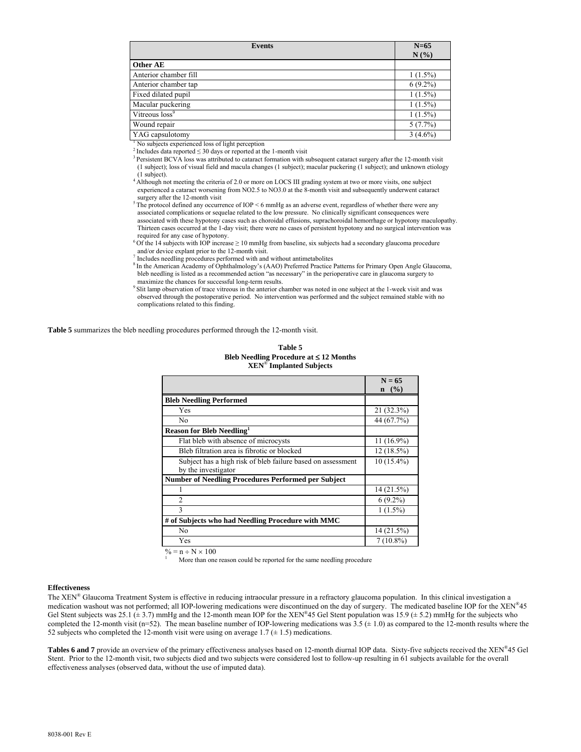| <b>Events</b>              | $N=65$<br>N(%) |
|----------------------------|----------------|
| Other AE                   |                |
| Anterior chamber fill      | $1(1.5\%)$     |
| Anterior chamber tap       | $6(9.2\%)$     |
| Fixed dilated pupil        | $1(1.5\%)$     |
| Macular puckering          | $1(1.5\%)$     |
| Vitreous loss <sup>9</sup> | $1(1.5\%)$     |
| Wound repair               | 5(7.7%)        |
| YAG capsulotomy            | $3(4.6\%)$     |

<sup>1</sup> No subjects experienced loss of light perception

<sup>2</sup> Includes data reported ≤ 30 days or reported at the 1-month visit  $\frac{3 \text{ $}}{3 \text{ }$  Persistent BCVA loss was attributed to cataract formation with subsequent cataract surgery after the 12-month visit$ (1 subject); loss of visual field and macula changes (1 subject); macular puckering (1 subject); and unknown etiology (1 subject).

<sup>4</sup> Although not meeting the criteria of 2.0 or more on LOCS III grading system at two or more visits, one subject experienced a cataract worsening from NO2.5 to NO3.0 at the 8-month visit and subsequently underwent cataract surgery after the 12-month visit

 $5$  The protocol defined any occurrence of IOP  $\leq$  6 mmHg as an adverse event, regardless of whether there were any associated complications or sequelae related to the low pressure. No clinically significant consequences were associated with these hypotony cases such as choroidal effusions, suprachoroidal hemorrhage or hypotony maculopathy. Thirteen cases occurred at the 1-day visit; there were no cases of persistent hypotony and no surgical intervention was required for any case of hypotony.

 $6$  Of the 14 subjects with IOP increase  $\geq 10$  mmHg from baseline, six subjects had a secondary glaucoma procedure and/or device explant prior to the 12-month visit.

7 Includes needling procedures performed with and without antimetabolites

<sup>8</sup> In the American Academy of Ophthalmology's (AAO) Preferred Practice Patterns for Primary Open Angle Glaucoma, bleb needling is listed as a recommended action "as necessary" in the perioperative care in glaucoma surgery to maximize the chances for successful long-term results.

9 Slit lamp observation of trace vitreous in the anterior chamber was noted in one subject at the 1-week visit and was observed through the postoperative period. No intervention was performed and the subject remained stable with no complications related to this finding.

**Table 5** summarizes the bleb needling procedures performed through the 12-month visit.

**Table 5 Bleb Needling Procedure at 12 Months XEN**® **Implanted Subjects**

|                                                             | $N = 65$     |
|-------------------------------------------------------------|--------------|
|                                                             | $n \ (\%)$   |
| <b>Bleb Needling Performed</b>                              |              |
| Yes                                                         | 21 (32.3%)   |
| No                                                          | 44 (67.7%)   |
| Reason for Bleb Needling <sup>1</sup>                       |              |
| Flat bleb with absence of microcysts                        | $11(16.9\%)$ |
| Bleb filtration area is fibrotic or blocked                 | $12(18.5\%)$ |
| Subject has a high risk of bleb failure based on assessment | $10(15.4\%)$ |
| by the investigator                                         |              |
| <b>Number of Needling Procedures Performed per Subject</b>  |              |
|                                                             | 14 (21.5%)   |
| $\overline{c}$                                              | $6(9.2\%)$   |
| $\mathbf{3}$                                                | $1(1.5\%)$   |
| # of Subjects who had Needling Procedure with MMC           |              |
| No                                                          | 14(21.5%)    |
| Yes                                                         | $7(10.8\%)$  |

 $\% = n \div N \times 100$ 

More than one reason could be reported for the same needling procedure

## **Effectiveness**

The XEN® Glaucoma Treatment System is effective in reducing intraocular pressure in a refractory glaucoma population. In this clinical investigation a medication washout was not performed; all IOP-lowering medications were discontinued on the day of surgery. The medicated baseline IOP for the XEN®45 Gel Stent subjects was 25.1 ( $\pm$  3.7) mmHg and the 12-month mean IOP for the XEN®45 Gel Stent population was 15.9 ( $\pm$  5.2) mmHg for the subjects who completed the 12-month visit (n=52). The mean baseline number of IOP-lowering medications was  $3.5 \pm 1.0$ ) as compared to the 12-month results where the 52 subjects who completed the 12-month visit were using on average 1.7 ( $\pm$  1.5) medications.

**Tables 6 and 7** provide an overview of the primary effectiveness analyses based on 12-month diurnal IOP data. Sixty-five subjects received the XEN®45 Gel Stent. Prior to the 12-month visit, two subjects died and two subjects were considered lost to follow-up resulting in 61 subjects available for the overall effectiveness analyses (observed data, without the use of imputed data).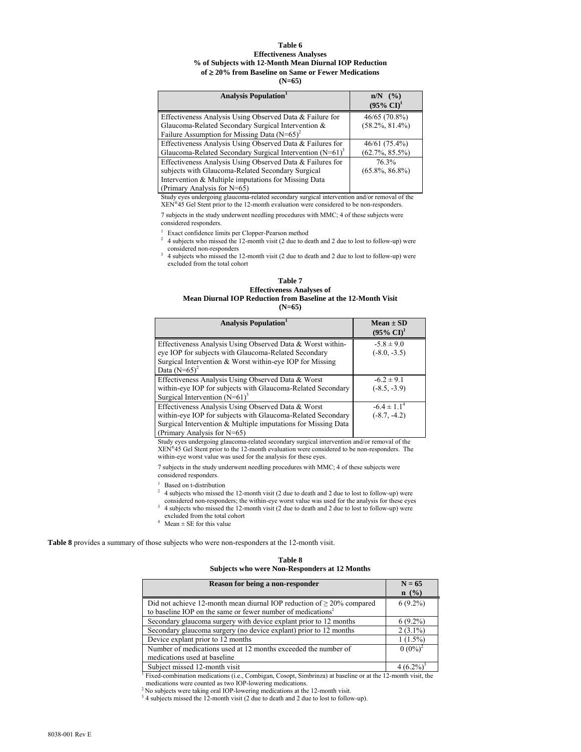#### **Table 6 Effectiveness Analyses % of Subjects with 12-Month Mean Diurnal IOP Reduction of 20% from Baseline on Same or Fewer Medications (N=65)**

| <b>Analysis Population</b>                                                                                                                                                                            | $n/N$ (%)<br>$(95\% \text{ CI})^1$  |
|-------------------------------------------------------------------------------------------------------------------------------------------------------------------------------------------------------|-------------------------------------|
| Effectiveness Analysis Using Observed Data & Failure for<br>Glaucoma-Related Secondary Surgical Intervention &<br>Failure Assumption for Missing Data $(N=65)^2$                                      | 46/65 (70.8%)<br>$(58.2\%, 81.4\%)$ |
| Effectiveness Analysis Using Observed Data & Failures for<br>Glaucoma-Related Secondary Surgical Intervention $(N=61)^3$                                                                              | 46/61(75.4%)<br>$(62.7\%, 85.5\%)$  |
| Effectiveness Analysis Using Observed Data & Failures for<br>subjects with Glaucoma-Related Secondary Surgical<br>Intervention & Multiple imputations for Missing Data<br>(Primary Analysis for N=65) | 76.3%<br>$(65.8\%, 86.8\%)$         |

Study eyes undergoing glaucoma-related secondary surgical intervention and/or removal of the XEN®45 Gel Stent prior to the 12-month evaluation were considered to be non-responders.

7 subjects in the study underwent needling procedures with MMC; 4 of these subjects were considered responders.

1 Exact confidence limits per Clopper-Pearson method

2 4 subjects who missed the 12-month visit (2 due to death and 2 due to lost to follow-up) were considered non-responders

3 4 subjects who missed the 12-month visit (2 due to death and 2 due to lost to follow-up) were excluded from the total cohort

#### **Table 7 Effectiveness Analyses of Mean Diurnal IOP Reduction from Baseline at the 12-Month Visit (N=65)**

| <b>Analysis Population</b>                                    | $Mean \pm SD$         |
|---------------------------------------------------------------|-----------------------|
|                                                               | $(95\% \text{ CI})^1$ |
| Effectiveness Analysis Using Observed Data & Worst within-    | $-5.8 \pm 9.0$        |
| eye IOP for subjects with Glaucoma-Related Secondary          | $(-8.0, -3.5)$        |
| Surgical Intervention $&$ Worst within-eye IOP for Missing    |                       |
| Data $(N=65)^2$                                               |                       |
| Effectiveness Analysis Using Observed Data & Worst            | $-6.2 \pm 9.1$        |
| within-eye IOP for subjects with Glaucoma-Related Secondary   | $(-8.5, -3.9)$        |
| Surgical Intervention $(N=61)^3$                              |                       |
| Effectiveness Analysis Using Observed Data & Worst            | $-6.4 \pm 1.1^4$      |
| within-eye IOP for subjects with Glaucoma-Related Secondary   | $(-8.7, -4.2)$        |
| Surgical Intervention & Multiple imputations for Missing Data |                       |
| (Primary Analysis for $N=65$ )                                |                       |

Study eyes undergoing glaucoma-related secondary surgical intervention and/or removal of the XEN®45 Gel Stent prior to the 12-month evaluation were considered to be non-responders. The within-eye worst value was used for the analysis for these eyes.

7 subjects in the study underwent needling procedures with MMC; 4 of these subjects were considered responders.

<sup>1</sup> Based on t-distribution

- $2\,$  4 subjects who missed the 12-month visit (2 due to death and 2 due to lost to follow-up) were
- considered non-responders; the within-eye worst value was used for the analysis for these eyes
- <sup>3</sup> 4 subjects who missed the 12-month visit (2 due to death and 2 due to lost to follow-up) were
- excluded from the total cohort<br> $4$  Mean  $\pm$  SE for this value

**Table 8** provides a summary of those subjects who were non-responders at the 12-month visit.

# **Table 8 Subjects who were Non-Responders at 12 Months**

| Reason for being a non-responder                                           | $N = 65$    |
|----------------------------------------------------------------------------|-------------|
|                                                                            | $n \ (\%)$  |
| Did not achieve 12-month mean diurnal IOP reduction of $\geq$ 20% compared | $6(9.2\%)$  |
| to baseline IOP on the same or fewer number of medications <sup>1</sup>    |             |
| Secondary glaucoma surgery with device explant prior to 12 months          | $6(9.2\%)$  |
| Secondary glaucoma surgery (no device explant) prior to 12 months          | $2(3.1\%)$  |
| Device explant prior to 12 months                                          | 1(1.5%)     |
| Number of medications used at 12 months exceeded the number of             | $0 (0\%)^2$ |
| medications used at baseline                                               |             |
| Subject missed 12-month visit                                              | 4(6.2%      |

<sup>1</sup> Fixed-combination medications (i.e., Combigan, Cosopt, Simbrinza) at baseline or at the 12-month visit, the medications were counted as two IOP-lowering medications.

<sup>2</sup> No subjects were taking oral IOP-lowering medications at the 12-month visit.

<sup>3</sup> 4 subjects missed the 12-month visit (2 due to death and 2 due to lost to follow-up).